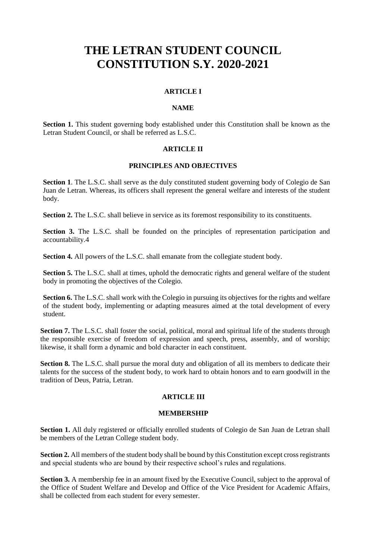# **THE LETRAN STUDENT COUNCIL CONSTITUTION S.Y. 2020-2021**

# **ARTICLE I**

#### **NAME**

Section 1. This student governing body established under this Constitution shall be known as the Letran Student Council, or shall be referred as L.S.C.

## **ARTICLE II**

# **PRINCIPLES AND OBJECTIVES**

**Section 1**. The L.S.C. shall serve as the duly constituted student governing body of Colegio de San Juan de Letran. Whereas, its officers shall represent the general welfare and interests of the student body.

**Section 2.** The L.S.C. shall believe in service as its foremost responsibility to its constituents.

Section 3. The L.S.C. shall be founded on the principles of representation participation and accountability.4

**Section 4.** All powers of the L.S.C. shall emanate from the collegiate student body.

**Section 5.** The L.S.C. shall at times, uphold the democratic rights and general welfare of the student body in promoting the objectives of the Colegio.

**Section 6.** The L.S.C. shall work with the Colegio in pursuing its objectives for the rights and welfare of the student body, implementing or adapting measures aimed at the total development of every student.

**Section 7.** The L.S.C. shall foster the social, political, moral and spiritual life of the students through the responsible exercise of freedom of expression and speech, press, assembly, and of worship; likewise, it shall form a dynamic and bold character in each constituent.

**Section 8.** The L.S.C. shall pursue the moral duty and obligation of all its members to dedicate their talents for the success of the student body, to work hard to obtain honors and to earn goodwill in the tradition of Deus, Patria, Letran.

# **ARTICLE III**

#### **MEMBERSHIP**

Section 1. All duly registered or officially enrolled students of Colegio de San Juan de Letran shall be members of the Letran College student body.

**Section 2.** All members of the student body shall be bound by this Constitution except cross registrants and special students who are bound by their respective school's rules and regulations.

**Section 3.** A membership fee in an amount fixed by the Executive Council, subject to the approval of the Office of Student Welfare and Develop and Office of the Vice President for Academic Affairs, shall be collected from each student for every semester.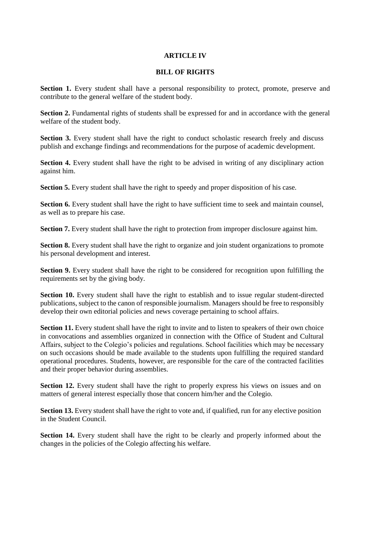## **ARTICLE IV**

### **BILL OF RIGHTS**

Section 1. Every student shall have a personal responsibility to protect, promote, preserve and contribute to the general welfare of the student body.

Section 2. Fundamental rights of students shall be expressed for and in accordance with the general welfare of the student body.

Section 3. Every student shall have the right to conduct scholastic research freely and discuss publish and exchange findings and recommendations for the purpose of academic development.

Section 4. Every student shall have the right to be advised in writing of any disciplinary action against him.

**Section 5.** Every student shall have the right to speedy and proper disposition of his case.

Section 6. Every student shall have the right to have sufficient time to seek and maintain counsel, as well as to prepare his case.

**Section 7.** Every student shall have the right to protection from improper disclosure against him.

**Section 8.** Every student shall have the right to organize and join student organizations to promote his personal development and interest.

**Section 9.** Every student shall have the right to be considered for recognition upon fulfilling the requirements set by the giving body.

**Section 10.** Every student shall have the right to establish and to issue regular student-directed publications, subject to the canon of responsible journalism. Managers should be free to responsibly develop their own editorial policies and news coverage pertaining to school affairs.

**Section 11.** Every student shall have the right to invite and to listen to speakers of their own choice in convocations and assemblies organized in connection with the Office of Student and Cultural Affairs, subject to the Colegio's policies and regulations. School facilities which may be necessary on such occasions should be made available to the students upon fulfilling the required standard operational procedures. Students, however, are responsible for the care of the contracted facilities and their proper behavior during assemblies.

**Section 12.** Every student shall have the right to properly express his views on issues and on matters of general interest especially those that concern him/her and the Colegio.

**Section 13.** Every student shall have the right to vote and, if qualified, run for any elective position in the Student Council.

**Section 14.** Every student shall have the right to be clearly and properly informed about the changes in the policies of the Colegio affecting his welfare.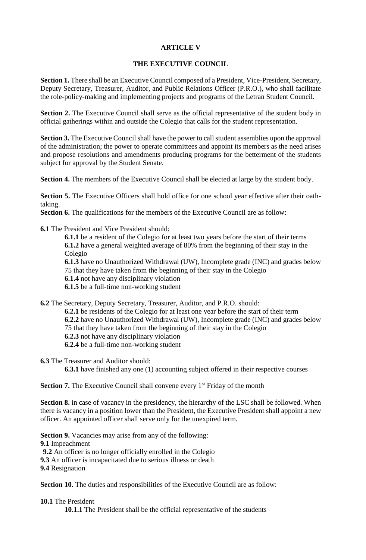# **ARTICLE V**

## **THE EXECUTIVE COUNCIL**

Section 1. There shall be an Executive Council composed of a President, Vice-President, Secretary, Deputy Secretary, Treasurer, Auditor, and Public Relations Officer (P.R.O.), who shall facilitate the role-policy-making and implementing projects and programs of the Letran Student Council.

**Section 2.** The Executive Council shall serve as the official representative of the student body in official gatherings within and outside the Colegio that calls for the student representation.

**Section 3.** The Executive Council shall have the power to call student assemblies upon the approval of the administration; the power to operate committees and appoint its members as the need arises and propose resolutions and amendments producing programs for the betterment of the students subject for approval by the Student Senate.

**Section 4.** The members of the Executive Council shall be elected at large by the student body.

Section 5. The Executive Officers shall hold office for one school year effective after their oathtaking.

**Section 6.** The qualifications for the members of the Executive Council are as follow:

**6.1** The President and Vice President should:

**6.1.1** be a resident of the Colegio for at least two years before the start of their terms **6.1.2** have a general weighted average of 80% from the beginning of their stay in the Colegio

**6.1.3** have no Unauthorized Withdrawal (UW), Incomplete grade (INC) and grades below 75 that they have taken from the beginning of their stay in the Colegio

**6.1.4** not have any disciplinary violation

**6.1.5** be a full-time non-working student

**6.2** The Secretary, Deputy Secretary, Treasurer, Auditor, and P.R.O. should:

**6.2.1** be residents of the Colegio for at least one year before the start of their term **6.2.2** have no Unauthorized Withdrawal (UW), Incomplete grade (INC) and grades below 75 that they have taken from the beginning of their stay in the Colegio **6.2.3** not have any disciplinary violation **6.2.4** be a full-time non-working student

**6.3** The Treasurer and Auditor should:

**6.3.1** have finished any one (1) accounting subject offered in their respective courses

**Section 7.** The Executive Council shall convene every 1<sup>st</sup> Friday of the month

**Section 8.** in case of vacancy in the presidency, the hierarchy of the LSC shall be followed. When there is vacancy in a position lower than the President, the Executive President shall appoint a new officer. An appointed officer shall serve only for the unexpired term.

**Section 9.** Vacancies may arise from any of the following: **9.1** Impeachment **9.2** An officer is no longer officially enrolled in the Colegio **9.3** An officer is incapacitated due to serious illness or death **9.4** Resignation

**Section 10.** The duties and responsibilities of the Executive Council are as follow:

**10.1** The President **10.1.1** The President shall be the official representative of the students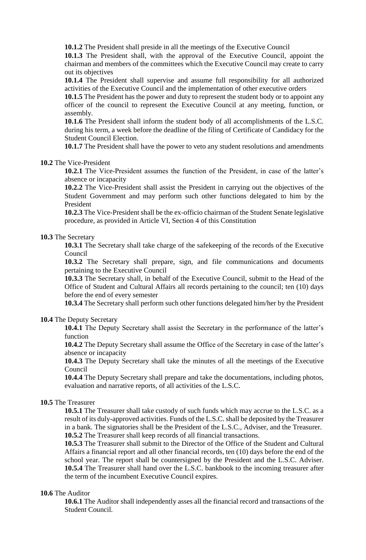**10.1.2** The President shall preside in all the meetings of the Executive Council

**10.1.3** The President shall, with the approval of the Executive Council, appoint the chairman and members of the committees which the Executive Council may create to carry out its objectives

**10.1.4** The President shall supervise and assume full responsibility for all authorized activities of the Executive Council and the implementation of other executive orders

**10.1.5** The President has the power and duty to represent the student body or to appoint any officer of the council to represent the Executive Council at any meeting, function, or assembly.

**10.1.6** The President shall inform the student body of all accomplishments of the L.S.C. during his term, a week before the deadline of the filing of Certificate of Candidacy for the Student Council Election.

**10.1.7** The President shall have the power to veto any student resolutions and amendments

### **10.2** The Vice-President

**10.2.1** The Vice-President assumes the function of the President, in case of the latter's absence or incapacity

**10.2.2** The Vice-President shall assist the President in carrying out the objectives of the Student Government and may perform such other functions delegated to him by the President

**10.2.3** The Vice-President shall be the ex-officio chairman of the Student Senate legislative procedure, as provided in Article VI, Section 4 of this Constitution

#### **10.3** The Secretary

**10.3.1** The Secretary shall take charge of the safekeeping of the records of the Executive Council

**10.3.2** The Secretary shall prepare, sign, and file communications and documents pertaining to the Executive Council

**10.3.3** The Secretary shall, in behalf of the Executive Council, submit to the Head of the Office of Student and Cultural Affairs all records pertaining to the council; ten (10) days before the end of every semester

**10.3.4** The Secretary shall perform such other functions delegated him/her by the President

#### **10.4** The Deputy Secretary

**10.4.1** The Deputy Secretary shall assist the Secretary in the performance of the latter's function

**10.4.2** The Deputy Secretary shall assume the Office of the Secretary in case of the latter's absence or incapacity

**10.4.3** The Deputy Secretary shall take the minutes of all the meetings of the Executive Council

**10.4.4** The Deputy Secretary shall prepare and take the documentations, including photos, evaluation and narrative reports, of all activities of the L.S.C.

#### **10.5** The Treasurer

**10.5.1** The Treasurer shall take custody of such funds which may accrue to the L.S.C. as a result of its duly-approved activities. Funds of the L.S.C. shall be deposited by the Treasurer in a bank. The signatories shall be the President of the L.S.C., Adviser, and the Treasurer. **10.5.2** The Treasurer shall keep records of all financial transactions.

**10.5.3** The Treasurer shall submit to the Director of the Office of the Student and Cultural Affairs a financial report and all other financial records, ten (10) days before the end of the school year. The report shall be countersigned by the President and the L.S.C. Adviser. **10.5.4** The Treasurer shall hand over the L.S.C. bankbook to the incoming treasurer after the term of the incumbent Executive Council expires.

#### **10.6** The Auditor

**10.6.1** The Auditor shall independently asses all the financial record and transactions of the Student Council.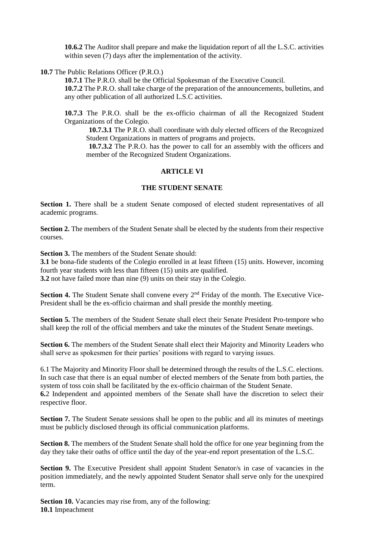**10.6.2** The Auditor shall prepare and make the liquidation report of all the L.S.C. activities within seven (7) days after the implementation of the activity.

**10.7** The Public Relations Officer (P.R.O.)

**10.7.1** The P.R.O. shall be the Official Spokesman of the Executive Council.

**10.7.2** The P.R.O. shall take charge of the preparation of the announcements, bulletins, and any other publication of all authorized L.S.C activities.

**10.7.3** The P.R.O. shall be the ex-officio chairman of all the Recognized Student Organizations of the Colegio.

**10.7.3.1** The P.R.O. shall coordinate with duly elected officers of the Recognized Student Organizations in matters of programs and projects.

**10.7.3.2** The P.R.O. has the power to call for an assembly with the officers and member of the Recognized Student Organizations.

## **ARTICLE VI**

# **THE STUDENT SENATE**

Section 1. There shall be a student Senate composed of elected student representatives of all academic programs.

**Section 2.** The members of the Student Senate shall be elected by the students from their respective courses.

**Section 3.** The members of the Student Senate should:

**3.1** be bona-fide students of the Colegio enrolled in at least fifteen (15) units. However, incoming fourth year students with less than fifteen (15) units are qualified.

**3.2** not have failed more than nine (9) units on their stay in the Colegio.

**Section 4.** The Student Senate shall convene every 2<sup>nd</sup> Friday of the month. The Executive Vice-President shall be the ex-officio chairman and shall preside the monthly meeting.

Section 5. The members of the Student Senate shall elect their Senate President Pro-tempore who shall keep the roll of the official members and take the minutes of the Student Senate meetings.

**Section 6.** The members of the Student Senate shall elect their Majority and Minority Leaders who shall serve as spokesmen for their parties' positions with regard to varying issues.

6.1 The Majority and Minority Floor shall be determined through the results of the L.S.C. elections. In such case that there is an equal number of elected members of the Senate from both parties, the system of toss coin shall be facilitated by the ex-officio chairman of the Student Senate.

**6.**2 Independent and appointed members of the Senate shall have the discretion to select their respective floor.

**Section 7.** The Student Senate sessions shall be open to the public and all its minutes of meetings must be publicly disclosed through its official communication platforms.

**Section 8.** The members of the Student Senate shall hold the office for one year beginning from the day they take their oaths of office until the day of the year-end report presentation of the L.S.C.

Section 9. The Executive President shall appoint Student Senator/s in case of vacancies in the position immediately, and the newly appointed Student Senator shall serve only for the unexpired term.

Section 10. Vacancies may rise from, any of the following: **10.1** Impeachment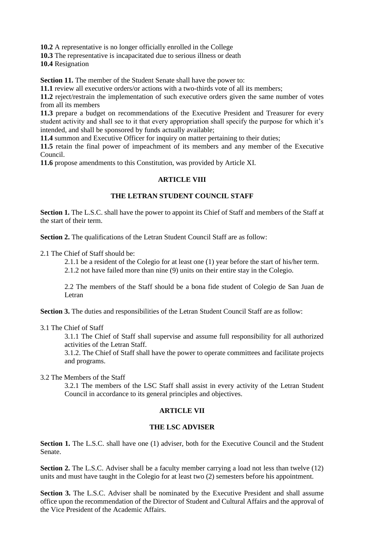**10.2** A representative is no longer officially enrolled in the College

**10.3** The representative is incapacitated due to serious illness or death

**10.4** Resignation

**Section 11.** The member of the Student Senate shall have the power to:

**11.1** review all executive orders/or actions with a two-thirds vote of all its members;

**11.2** reject/restrain the implementation of such executive orders given the same number of votes from all its members

**11.3** prepare a budget on recommendations of the Executive President and Treasurer for every student activity and shall see to it that every appropriation shall specify the purpose for which it's intended, and shall be sponsored by funds actually available;

**11.4** summon and Executive Officer for inquiry on matter pertaining to their duties;

**11.5** retain the final power of impeachment of its members and any member of the Executive Council.

**11.6** propose amendments to this Constitution, was provided by Article XI.

# **ARTICLE VIII**

# **THE LETRAN STUDENT COUNCIL STAFF**

**Section 1.** The L.S.C. shall have the power to appoint its Chief of Staff and members of the Staff at the start of their term.

**Section 2.** The qualifications of the Letran Student Council Staff are as follow:

2.1 The Chief of Staff should be:

2.1.1 be a resident of the Colegio for at least one (1) year before the start of his/her term.

2.1.2 not have failed more than nine (9) units on their entire stay in the Colegio.

2.2 The members of the Staff should be a bona fide student of Colegio de San Juan de Letran

**Section 3.** The duties and responsibilities of the Letran Student Council Staff are as follow:

3.1 The Chief of Staff

3.1.1 The Chief of Staff shall supervise and assume full responsibility for all authorized activities of the Letran Staff.

3.1.2. The Chief of Staff shall have the power to operate committees and facilitate projects and programs.

3.2 The Members of the Staff

3.2.1 The members of the LSC Staff shall assist in every activity of the Letran Student Council in accordance to its general principles and objectives.

# **ARTICLE VII**

# **THE LSC ADVISER**

Section 1. The L.S.C. shall have one (1) adviser, both for the Executive Council and the Student Senate.

**Section 2.** The L.S.C. Adviser shall be a faculty member carrying a load not less than twelve (12) units and must have taught in the Colegio for at least two (2) semesters before his appointment.

**Section 3.** The L.S.C. Adviser shall be nominated by the Executive President and shall assume office upon the recommendation of the Director of Student and Cultural Affairs and the approval of the Vice President of the Academic Affairs.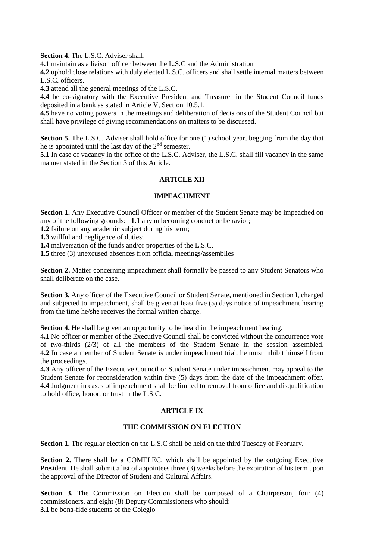**Section 4.** The L.S.C. Adviser shall:

**4.1** maintain as a liaison officer between the L.S.C and the Administration

**4.2** uphold close relations with duly elected L.S.C. officers and shall settle internal matters between L.S.C. officers.

**4.3** attend all the general meetings of the L.S.C.

**4.4** be co-signatory with the Executive President and Treasurer in the Student Council funds deposited in a bank as stated in Article V, Section 10.5.1.

**4.5** have no voting powers in the meetings and deliberation of decisions of the Student Council but shall have privilege of giving recommendations on matters to be discussed.

**Section 5.** The L.S.C. Adviser shall hold office for one (1) school year, begging from the day that he is appointed until the last day of the  $2<sup>nd</sup>$  semester.

**5.1** In case of vacancy in the office of the L.S.C. Adviser, the L.S.C. shall fill vacancy in the same manner stated in the Section 3 of this Article.

## **ARTICLE XII**

#### **IMPEACHMENT**

**Section 1.** Any Executive Council Officer or member of the Student Senate may be impeached on any of the following grounds: **1.1** any unbecoming conduct or behavior;

**1.2** failure on any academic subject during his term;

**1.3** willful and negligence of duties;

**1.4** malversation of the funds and/or properties of the L.S.C.

**1.5** three (3) unexcused absences from official meetings/assemblies

**Section 2.** Matter concerning impeachment shall formally be passed to any Student Senators who shall deliberate on the case.

**Section 3.** Any officer of the Executive Council or Student Senate, mentioned in Section I, charged and subjected to impeachment, shall be given at least five (5) days notice of impeachment hearing from the time he/she receives the formal written charge.

**Section 4.** He shall be given an opportunity to be heard in the impeachment hearing.

**4.1** No officer or member of the Executive Council shall be convicted without the concurrence vote of two-thirds (2/3) of all the members of the Student Senate in the session assembled. **4.2** In case a member of Student Senate is under impeachment trial, he must inhibit himself from the proceedings.

**4.3** Any officer of the Executive Council or Student Senate under impeachment may appeal to the Student Senate for reconsideration within five (5) days from the date of the impeachment offer. **4.4** Judgment in cases of impeachment shall be limited to removal from office and disqualification to hold office, honor, or trust in the L.S.C.

# **ARTICLE IX**

# **THE COMMISSION ON ELECTION**

Section 1. The regular election on the L.S.C shall be held on the third Tuesday of February.

Section 2. There shall be a COMELEC, which shall be appointed by the outgoing Executive President. He shall submit a list of appointees three (3) weeks before the expiration of his term upon the approval of the Director of Student and Cultural Affairs.

**Section 3.** The Commission on Election shall be composed of a Chairperson, four (4) commissioners, and eight (8) Deputy Commissioners who should: **3.1** be bona-fide students of the Colegio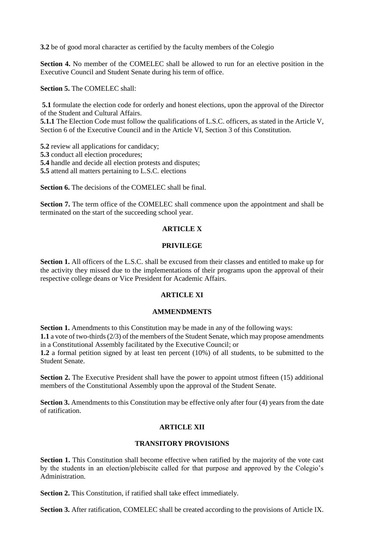**3.2** be of good moral character as certified by the faculty members of the Colegio

**Section 4.** No member of the COMELEC shall be allowed to run for an elective position in the Executive Council and Student Senate during his term of office.

**Section 5.** The COMELEC shall:

**5.1** formulate the election code for orderly and honest elections, upon the approval of the Director of the Student and Cultural Affairs.

**5.1.1** The Election Code must follow the qualifications of L.S.C. officers, as stated in the Article V, Section 6 of the Executive Council and in the Article VI, Section 3 of this Constitution.

**5.2** review all applications for candidacy;

**5.3** conduct all election procedures;

**5.4** handle and decide all election protests and disputes;

**5.5** attend all matters pertaining to L.S.C. elections

**Section 6.** The decisions of the COMELEC shall be final.

**Section 7.** The term office of the COMELEC shall commence upon the appointment and shall be terminated on the start of the succeeding school year.

# **ARTICLE X**

## **PRIVILEGE**

Section 1. All officers of the L.S.C. shall be excused from their classes and entitled to make up for the activity they missed due to the implementations of their programs upon the approval of their respective college deans or Vice President for Academic Affairs.

#### **ARTICLE XI**

#### **AMMENDMENTS**

**Section 1.** Amendments to this Constitution may be made in any of the following ways:

**1.1** a vote of two-thirds (2/3) of the members of the Student Senate, which may propose amendments in a Constitutional Assembly facilitated by the Executive Council; or

**1.2** a formal petition signed by at least ten percent (10%) of all students, to be submitted to the Student Senate.

**Section 2.** The Executive President shall have the power to appoint utmost fifteen (15) additional members of the Constitutional Assembly upon the approval of the Student Senate.

**Section 3.** Amendments to this Constitution may be effective only after four (4) years from the date of ratification.

#### **ARTICLE XII**

# **TRANSITORY PROVISIONS**

Section 1. This Constitution shall become effective when ratified by the majority of the vote cast by the students in an election/plebiscite called for that purpose and approved by the Colegio's Administration.

**Section 2.** This Constitution, if ratified shall take effect immediately.

**Section 3.** After ratification, COMELEC shall be created according to the provisions of Article IX.